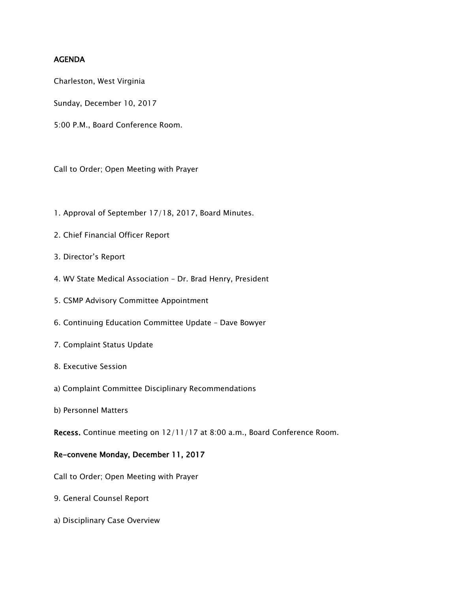## AGENDA

Charleston, West Virginia

Sunday, December 10, 2017

5:00 P.M., Board Conference Room.

Call to Order; Open Meeting with Prayer

- 1. Approval of September 17/18, 2017, Board Minutes.
- 2. Chief Financial Officer Report
- 3. Director's Report
- 4. WV State Medical Association Dr. Brad Henry, President
- 5. CSMP Advisory Committee Appointment
- 6. Continuing Education Committee Update Dave Bowyer
- 7. Complaint Status Update
- 8. Executive Session
- a) Complaint Committee Disciplinary Recommendations
- b) Personnel Matters

Recess. Continue meeting on 12/11/17 at 8:00 a.m., Board Conference Room.

## Re-convene Monday, December 11, 2017

Call to Order; Open Meeting with Prayer

- 9. General Counsel Report
- a) Disciplinary Case Overview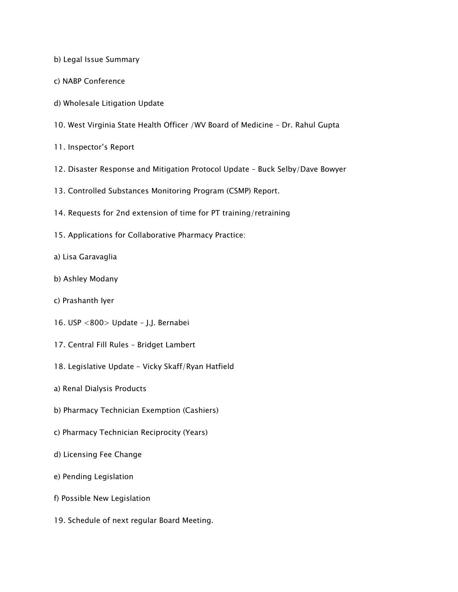b) Legal Issue Summary

- c) NABP Conference
- d) Wholesale Litigation Update
- 10. West Virginia State Health Officer /WV Board of Medicine Dr. Rahul Gupta
- 11. Inspector's Report
- 12. Disaster Response and Mitigation Protocol Update Buck Selby/Dave Bowyer
- 13. Controlled Substances Monitoring Program (CSMP) Report.
- 14. Requests for 2nd extension of time for PT training/retraining
- 15. Applications for Collaborative Pharmacy Practice:
- a) Lisa Garavaglia
- b) Ashley Modany
- c) Prashanth Iyer
- 16. USP <800> Update J.J. Bernabei
- 17. Central Fill Rules Bridget Lambert
- 18. Legislative Update Vicky Skaff/Ryan Hatfield
- a) Renal Dialysis Products
- b) Pharmacy Technician Exemption (Cashiers)
- c) Pharmacy Technician Reciprocity (Years)
- d) Licensing Fee Change
- e) Pending Legislation
- f) Possible New Legislation
- 19. Schedule of next regular Board Meeting.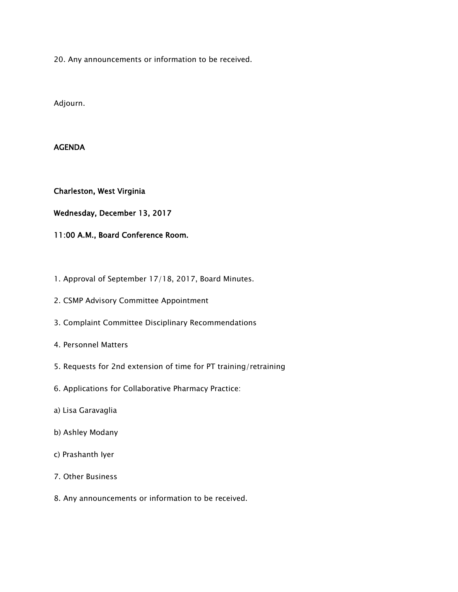20. Any announcements or information to be received.

Adjourn.

## AGENDA

Charleston, West Virginia

Wednesday, December 13, 2017

11:00 A.M., Board Conference Room.

- 1. Approval of September 17/18, 2017, Board Minutes.
- 2. CSMP Advisory Committee Appointment
- 3. Complaint Committee Disciplinary Recommendations
- 4. Personnel Matters
- 5. Requests for 2nd extension of time for PT training/retraining
- 6. Applications for Collaborative Pharmacy Practice:
- a) Lisa Garavaglia
- b) Ashley Modany
- c) Prashanth Iyer
- 7. Other Business
- 8. Any announcements or information to be received.